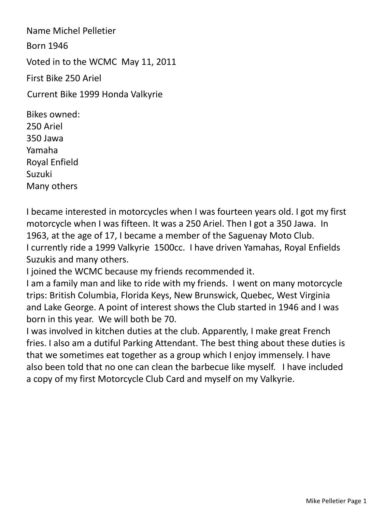Name Michel Pelletier Born 1946 Voted in to the WCMC May 11, 2011 First Bike 250 Ariel Bikes owned: Current Bike 1999 Honda Valkyrie

250 Ariel 350 Jawa Yamaha Royal Enfield Suzuki Many others

I became interested in motorcycles when I was fourteen years old. I got my first motorcycle when I was fifteen. It was a 250 Ariel. Then I got a 350 Jawa. In 1963, at the age of 17, I became a member of the Saguenay Moto Club. I currently ride a 1999 Valkyrie 1500cc. I have driven Yamahas, Royal Enfields Suzukis and many others.

I joined the WCMC because my friends recommended it.

I am a family man and like to ride with my friends. I went on many motorcycle trips: British Columbia, Florida Keys, New Brunswick, Quebec, West Virginia and Lake George. A point of interest shows the Club started in 1946 and I was born in this year. We will both be 70.

I was involved in kitchen duties at the club. Apparently, I make great French fries. I also am a dutiful Parking Attendant. The best thing about these duties is that we sometimes eat together as a group which I enjoy immensely. I have also been told that no one can clean the barbecue like myself. I have included a copy of my first Motorcycle Club Card and myself on my Valkyrie.